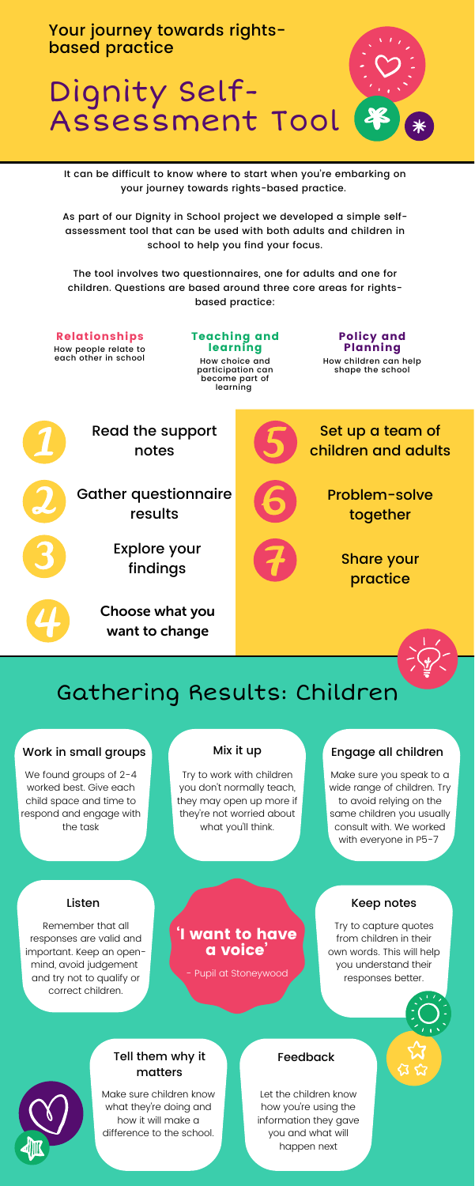Your journey towards rightsbased practice

# Dignity Self-Assessment Tool

It can be difficult to know where to start when you're embarking on your journey towards rights-based practice.

As part of our Dignity in School project we developed a simple selfassessment tool that can be used with both adults and children in school to help you find your focus.

The tool involves two questionnaires, one for adults and one for children. Questions are based around three core areas for rightsbased practice:

### 'I want to have a voice'

Relationships How people relate to each other in school Teaching and learning How choice and participation can become part of

learning

#### Policy and Planning

How children can help shape the school

Make sure you speak to a wide range of children. Try to avoid relying on the same children you usually consult with. We worked with everyone in P5-7

We found groups of 2-4 worked best. Give each child space and time to respond and engage with the task

#### Mix it up

Try to work with children you don't normally teach, they may open up more if they're not worried about what you'll think.

### Tell them why it matters

Make sure children know what they're doing and how it will make a difference to the school.

#### Listen

Remember that all responses are valid and important. Keep an openmind, avoid judgement and try not to qualify or correct children.

#### Keep notes

Try to capture quotes from children in their own words. This will help you understand their responses better.



#### Feedback

Let the children know how you're using the information they gave you and what will happen next

## Gathering Results: Children

#### Work in small groups Mix it up Engage all children

Read the support notes

Gather questionnaire results

> Explore your findings

Choose what you want to change

Set up a team of

children and adults



Problem-solve together

> Share your practice



- Pupil at Stoneywood